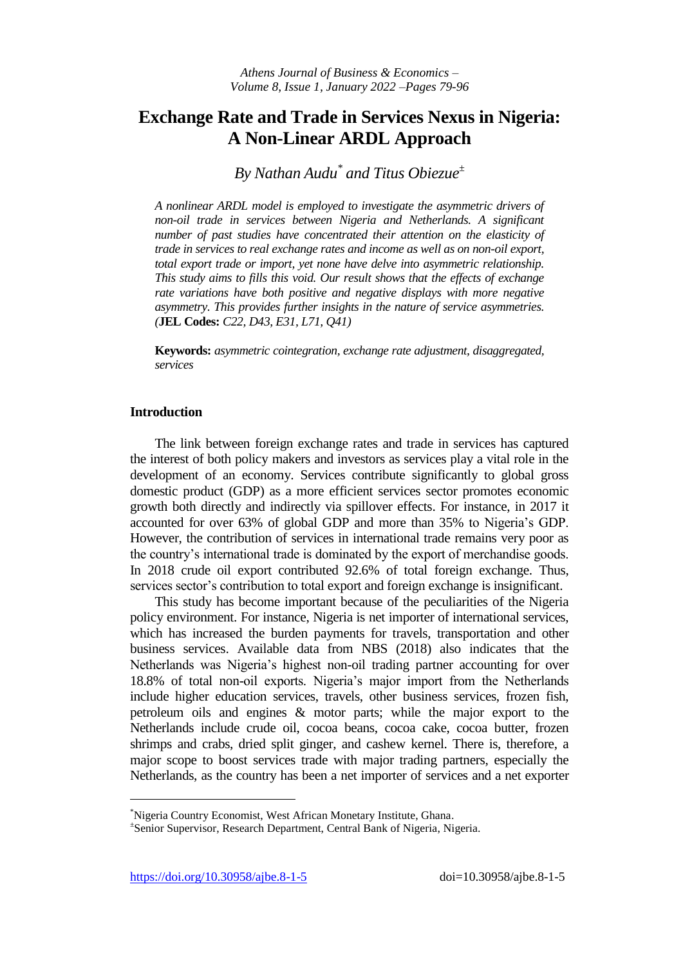# **Exchange Rate and Trade in Services Nexus in Nigeria: A Non-Linear ARDL Approach**

*By Nathan Audu\* and Titus Obiezue<sup>±</sup>*

*A nonlinear ARDL model is employed to investigate the asymmetric drivers of non-oil trade in services between Nigeria and Netherlands. A significant number of past studies have concentrated their attention on the elasticity of trade in services to real exchange rates and income as well as on non-oil export, total export trade or import, yet none have delve into asymmetric relationship. This study aims to fills this void. Our result shows that the effects of exchange rate variations have both positive and negative displays with more negative asymmetry. This provides further insights in the nature of service asymmetries. (***JEL Codes:** *C22, D43, E31, L71, Q41)*

**Keywords:** *asymmetric cointegration, exchange rate adjustment, disaggregated, services*

## **Introduction**

The link between foreign exchange rates and trade in services has captured the interest of both policy makers and investors as services play a vital role in the development of an economy. Services contribute significantly to global gross domestic product (GDP) as a more efficient services sector promotes economic growth both directly and indirectly via spillover effects. For instance, in 2017 it accounted for over 63% of global GDP and more than 35% to Nigeria's GDP. However, the contribution of services in international trade remains very poor as the country's international trade is dominated by the export of merchandise goods. In 2018 crude oil export contributed 92.6% of total foreign exchange. Thus, services sector's contribution to total export and foreign exchange is insignificant.

This study has become important because of the peculiarities of the Nigeria policy environment. For instance, Nigeria is net importer of international services, which has increased the burden payments for travels, transportation and other business services. Available data from NBS (2018) also indicates that the Netherlands was Nigeria's highest non-oil trading partner accounting for over 18.8% of total non-oil exports. Nigeria's major import from the Netherlands include higher education services, travels, other business services, frozen fish, petroleum oils and engines & motor parts; while the major export to the Netherlands include crude oil, cocoa beans, cocoa cake, cocoa butter, frozen shrimps and crabs, dried split ginger, and cashew kernel. There is, therefore, a major scope to boost services trade with major trading partners, especially the Netherlands, as the country has been a net importer of services and a net exporter

<https://doi.org/10.30958/ajbe.8-1-5>doi=10.30958/ajbe.8-1-5

 $\overline{a}$ 

<sup>\*</sup>Nigeria Country Economist, West African Monetary Institute, Ghana.

<sup>±</sup> Senior Supervisor, Research Department, Central Bank of Nigeria, Nigeria.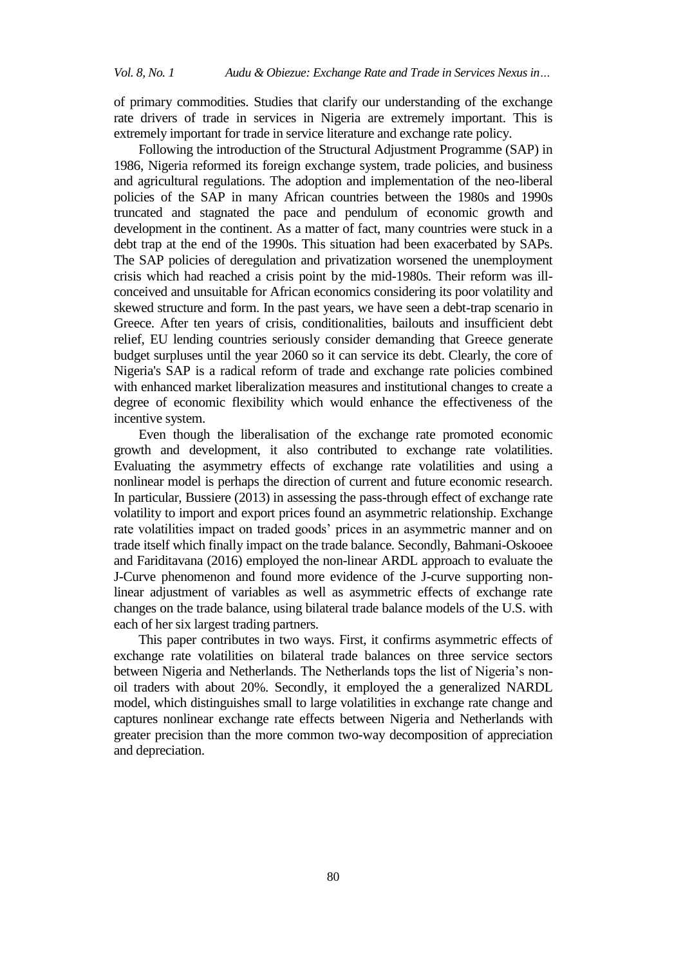of primary commodities. Studies that clarify our understanding of the exchange rate drivers of trade in services in Nigeria are extremely important. This is extremely important for trade in service literature and exchange rate policy.

Following the introduction of the Structural Adjustment Programme (SAP) in 1986, Nigeria reformed its foreign exchange system, trade policies, and business and agricultural regulations. The adoption and implementation of the neo-liberal policies of the SAP in many African countries between the 1980s and 1990s truncated and stagnated the pace and pendulum of economic growth and development in the continent. As a matter of fact, many countries were stuck in a debt trap at the end of the 1990s. This situation had been exacerbated by SAPs. The SAP policies of deregulation and privatization worsened the unemployment crisis which had reached a crisis point by the mid-1980s. Their reform was illconceived and unsuitable for African economics considering its poor volatility and skewed structure and form. In the past years, we have seen a debt-trap scenario in Greece. After ten years of crisis, conditionalities, bailouts and insufficient debt relief, EU lending countries seriously consider demanding that Greece generate budget surpluses until the year 2060 so it can service its debt. Clearly, the core of Nigeria's SAP is a radical reform of trade and exchange rate policies combined with enhanced market liberalization measures and institutional changes to create a degree of economic flexibility which would enhance the effectiveness of the incentive system.

Even though the liberalisation of the exchange rate promoted economic growth and development, it also contributed to exchange rate volatilities. Evaluating the asymmetry effects of exchange rate volatilities and using a nonlinear model is perhaps the direction of current and future economic research. In particular, Bussiere (2013) in assessing the pass-through effect of exchange rate volatility to import and export prices found an asymmetric relationship. Exchange rate volatilities impact on traded goods' prices in an asymmetric manner and on trade itself which finally impact on the trade balance. Secondly, Bahmani-Oskooee and Fariditavana (2016) employed the non-linear ARDL approach to evaluate the J-Curve phenomenon and found more evidence of the J-curve supporting nonlinear adjustment of variables as well as asymmetric effects of exchange rate changes on the trade balance, using bilateral trade balance models of the U.S. with each of her six largest trading partners.

This paper contributes in two ways. First, it confirms asymmetric effects of exchange rate volatilities on bilateral trade balances on three service sectors between Nigeria and Netherlands. The Netherlands tops the list of Nigeria's nonoil traders with about 20%. Secondly, it employed the a generalized NARDL model, which distinguishes small to large volatilities in exchange rate change and captures nonlinear exchange rate effects between Nigeria and Netherlands with greater precision than the more common two-way decomposition of appreciation and depreciation.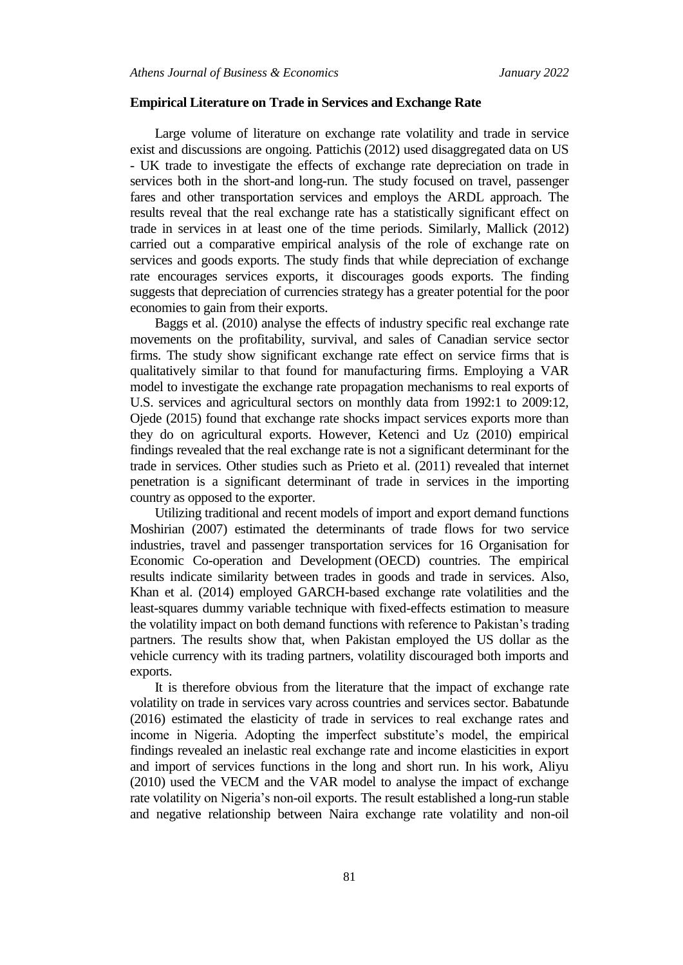#### **Empirical Literature on Trade in Services and Exchange Rate**

Large volume of literature on exchange rate volatility and trade in service exist and discussions are ongoing. [Pattichis](https://www.emeraldinsight.com/author/Pattichis%2C+Charalambos) (2012) used disaggregated data on US - UK trade to investigate the effects of exchange rate depreciation on trade in services both in the short-and long-run. The study focused on travel, passenger fares and other transportation services and employs the ARDL approach. The results reveal that the real exchange rate has a statistically significant effect on trade in services in at least one of the time periods. Similarly, Mallick (2012) carried out a comparative empirical analysis of the role of exchange rate on services and goods exports. The study finds that while depreciation of exchange rate encourages services exports, it discourages goods exports. The finding suggests that depreciation of currencies strategy has a greater potential for the poor economies to gain from their exports.

Baggs et al. (2010) analyse the effects of industry specific real exchange rate movements on the profitability, survival, and sales of Canadian service sector firms. The study show significant exchange rate effect on service firms that is qualitatively similar to that found for manufacturing firms. Employing a VAR model to investigate the exchange rate propagation mechanisms to real exports of U.S. services and agricultural sectors on monthly data from 1992:1 to 2009:12, Ojede (2015) found that exchange rate shocks impact services exports more than they do on agricultural exports. However, Ketenci and Uz (2010) empirical findings revealed that the real exchange rate is not a significant determinant for the trade in services. Other studies such as Prieto et al. (2011) revealed that internet penetration is a significant determinant of trade in services in the importing country as opposed to the exporter.

Utilizing traditional and recent models of import and export demand functions Moshirian (2007) estimated the determinants of trade flows for two service industries, travel and passenger transportation services for 16 Organisation for Economic Co-operation and Development (OECD) countries. The empirical results indicate similarity between trades in goods and trade in services. Also, Khan et al. (2014) employed GARCH-based exchange rate volatilities and the least-squares dummy variable technique with fixed-effects estimation to measure the volatility impact on both demand functions with reference to Pakistan's trading partners. The results show that, when Pakistan employed the US dollar as the vehicle currency with its trading partners, volatility discouraged both imports and exports.

It is therefore obvious from the literature that the impact of exchange rate volatility on trade in services vary across countries and services sector. Babatunde (2016) estimated the elasticity of trade in services to real exchange rates and income in Nigeria. Adopting the imperfect substitute's model, the empirical findings revealed an inelastic real exchange rate and income elasticities in export and import of services functions in the long and short run. In his work, Aliyu (2010) used the VECM and the VAR model to analyse the impact of exchange rate volatility on Nigeria's non-oil exports. The result established a long-run stable and negative relationship between Naira exchange rate volatility and non-oil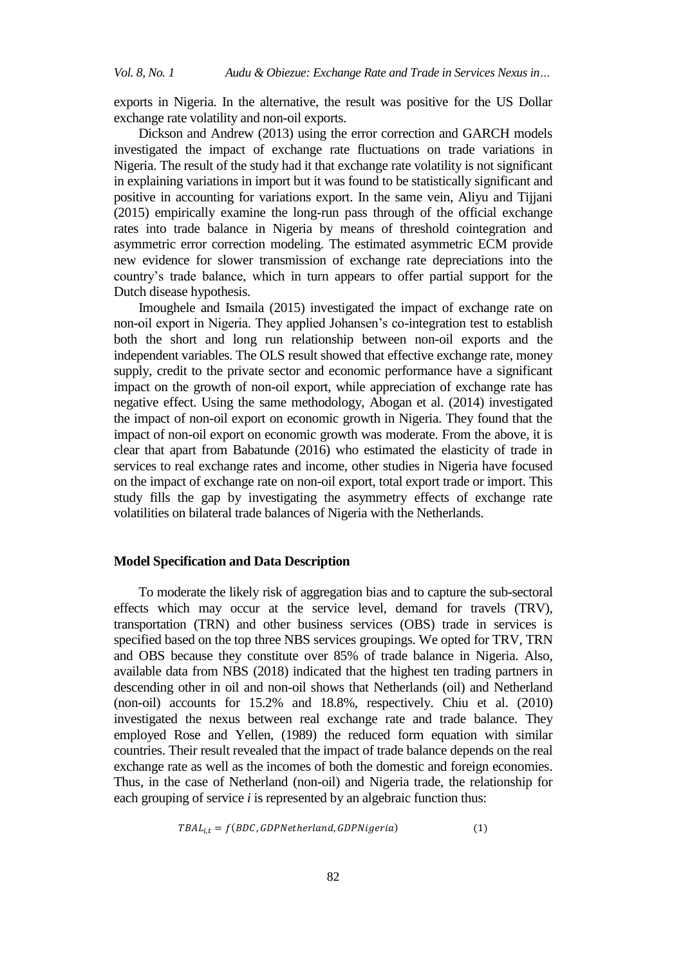exports in Nigeria. In the alternative, the result was positive for the US Dollar exchange rate volatility and non-oil exports.

Dickson and Andrew (2013) using the error correction and GARCH models investigated the impact of exchange rate fluctuations on trade variations in Nigeria. The result of the study had it that exchange rate volatility is not significant in explaining variations in import but it was found to be statistically significant and positive in accounting for variations export. In the same vein, Aliyu and Tijjani (2015) empirically examine the long-run pass through of the official exchange rates into trade balance in Nigeria by means of threshold cointegration and asymmetric error correction modeling. The estimated asymmetric ECM provide new evidence for slower transmission of exchange rate depreciations into the country's trade balance, which in turn appears to offer partial support for the Dutch disease hypothesis.

Imoughele and Ismaila (2015) investigated the impact of exchange rate on non-oil export in Nigeria. They applied Johansen's co-integration test to establish both the short and long run relationship between non-oil exports and the independent variables. The OLS result showed that effective exchange rate, money supply, credit to the private sector and economic performance have a significant impact on the growth of non-oil export, while appreciation of exchange rate has negative effect. Using the same methodology, Abogan et al. (2014) investigated the impact of non-oil export on economic growth in Nigeria. They found that the impact of non-oil export on economic growth was moderate. From the above, it is clear that apart from Babatunde (2016) who estimated the elasticity of trade in services to real exchange rates and income, other studies in Nigeria have focused on the impact of exchange rate on non-oil export, total export trade or import. This study fills the gap by investigating the asymmetry effects of exchange rate volatilities on bilateral trade balances of Nigeria with the Netherlands.

## **Model Specification and Data Description**

To moderate the likely risk of aggregation bias and to capture the sub-sectoral effects which may occur at the service level, demand for travels (TRV), transportation (TRN) and other business services (OBS) trade in services is specified based on the top three NBS services groupings. We opted for TRV, TRN and OBS because they constitute over 85% of trade balance in Nigeria. Also, available data from NBS (2018) indicated that the highest ten trading partners in descending other in oil and non-oil shows that Netherlands (oil) and Netherland (non-oil) accounts for 15.2% and 18.8%, respectively. Chiu et al. (2010) investigated the nexus between real exchange rate and trade balance. They employed Rose and Yellen, (1989) the reduced form equation with similar countries. Their result revealed that the impact of trade balance depends on the real exchange rate as well as the incomes of both the domestic and foreign economies. Thus, in the case of Netherland (non-oil) and Nigeria trade, the relationship for each grouping of service *i* is represented by an algebraic function thus:

$$
TBAL_{i,t} = f(BDC, GDPNetherland, GDPNigeria)
$$
\n
$$
(1)
$$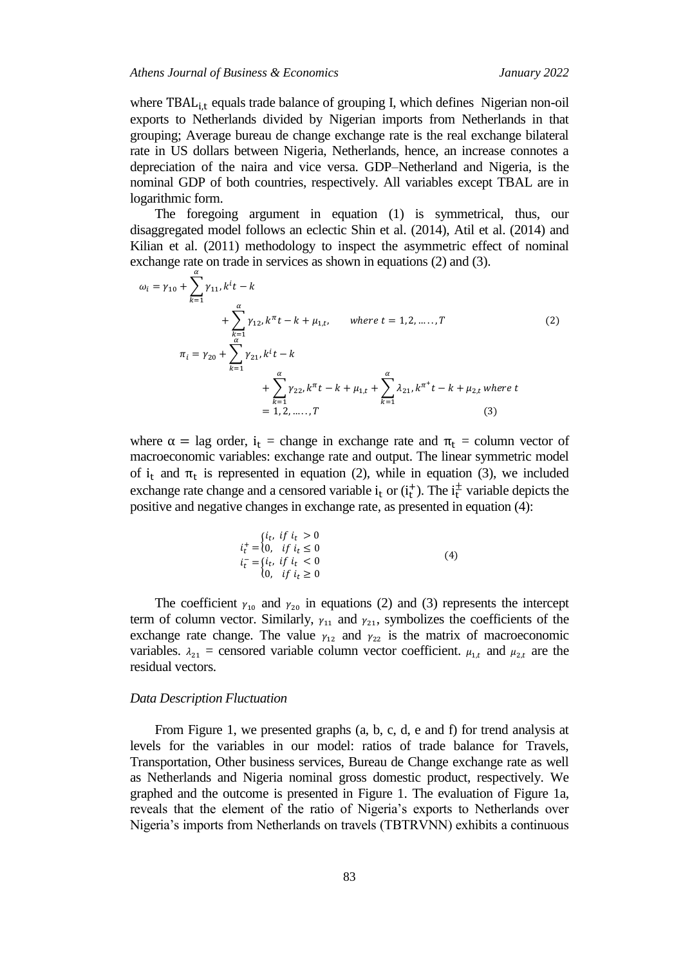where  $TBAL_{i,t}$  equals trade balance of grouping I, which defines Nigerian non-oil exports to Netherlands divided by Nigerian imports from Netherlands in that grouping; Average bureau de change exchange rate is the real exchange bilateral rate in US dollars between Nigeria, Netherlands, hence, an increase connotes a depreciation of the naira and vice versa. GDP–Netherland and Nigeria, is the nominal GDP of both countries, respectively. All variables except TBAL are in logarithmic form.

The foregoing argument in equation (1) is symmetrical, thus, our disaggregated model follows an eclectic Shin et al. (2014), Atil et al. (2014) and Kilian et al. (2011) methodology to inspect the asymmetric effect of nominal exchange rate on trade in services as shown in equations (2) and (3).

$$
\omega_{i} = \gamma_{10} + \sum_{k=1}^{\alpha} \gamma_{11}, k^{i}t - k
$$
  
+ 
$$
\sum_{k=1}^{\alpha} \gamma_{12}, k^{\pi}t - k + \mu_{1,t}, \qquad \text{where } t = 1, 2, \dots, T
$$
  

$$
\pi_{i} = \gamma_{20} + \sum_{k=1}^{\alpha} \gamma_{21}, k^{i}t - k
$$
  
+ 
$$
\sum_{k=1}^{\alpha} \gamma_{22}, k^{\pi}t - k + \mu_{1,t} + \sum_{k=1}^{\alpha} \lambda_{21}, k^{\pi^{+}}t - k + \mu_{2,t} \text{ where } t
$$
  
= 1, 2, ..., T (3)

where  $\alpha =$  lag order,  $i_t$  = change in exchange rate and  $\pi_t$  = column vector of macroeconomic variables: exchange rate and output. The linear symmetric model of i<sub>t</sub> and  $\pi_t$  is represented in equation (2), while in equation (3), we included exchange rate change and a censored variable  $i_t$  or  $(i_t^+)$ . The  $i_t^ _{t}^{\pm}$  variable depicts the positive and negative changes in exchange rate, as presented in equation (4):

$$
i_t^+ = \begin{cases} i_t, & \text{if } i_t > 0\\ 0, & \text{if } i_t \le 0\\ i_t^- = \begin{cases} i_t, & \text{if } i_t < 0\\ 0, & \text{if } i_t \ge 0 \end{cases} \end{cases} \tag{4}
$$

The coefficient  $\gamma_{10}$  and  $\gamma_{20}$  in equations (2) and (3) represents the intercept term of column vector. Similarly,  $\gamma_{11}$  and  $\gamma_{21}$ , symbolizes the coefficients of the exchange rate change. The value  $y_{12}$  and  $y_{22}$  is the matrix of macroeconomic variables.  $\lambda_{21}$  = censored variable column vector coefficient.  $\mu_{1,t}$  and  $\mu_{2,t}$  are the residual vectors.

#### *Data Description Fluctuation*

From Figure 1, we presented graphs (a, b, c, d, e and f) for trend analysis at levels for the variables in our model: ratios of trade balance for Travels, Transportation, Other business services, Bureau de Change exchange rate as well as Netherlands and Nigeria nominal gross domestic product, respectively. We graphed and the outcome is presented in Figure 1. The evaluation of Figure 1a, reveals that the element of the ratio of Nigeria's exports to Netherlands over Nigeria's imports from Netherlands on travels (TBTRVNN) exhibits a continuous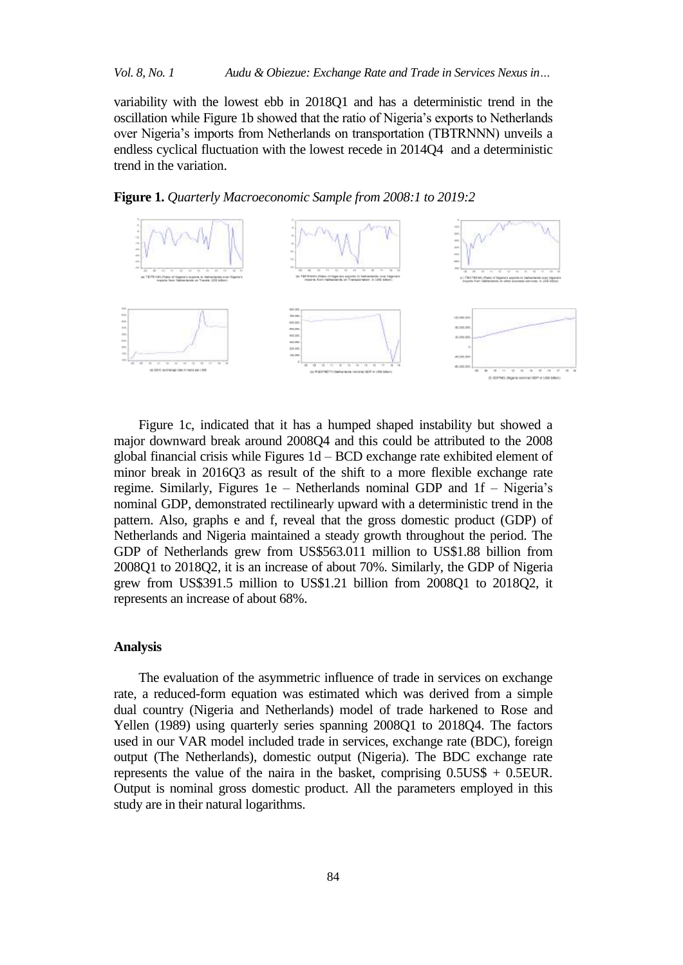variability with the lowest ebb in 2018Q1 and has a deterministic trend in the oscillation while Figure 1b showed that the ratio of Nigeria's exports to Netherlands over Nigeria's imports from Netherlands on transportation (TBTRNNN) unveils a endless cyclical fluctuation with the lowest recede in 2014Q4 and a deterministic trend in the variation.





Figure 1c, indicated that it has a humped shaped instability but showed a major downward break around 2008Q4 and this could be attributed to the 2008 global financial crisis while Figures 1d – BCD exchange rate exhibited element of minor break in 2016Q3 as result of the shift to a more flexible exchange rate regime. Similarly, Figures 1e – Netherlands nominal GDP and 1f – Nigeria's nominal GDP, demonstrated rectilinearly upward with a deterministic trend in the pattern. Also, graphs e and f, reveal that the gross domestic product (GDP) of Netherlands and Nigeria maintained a steady growth throughout the period. The GDP of Netherlands grew from US\$563.011 million to US\$1.88 billion from 2008Q1 to 2018Q2, it is an increase of about 70%. Similarly, the GDP of Nigeria grew from US\$391.5 million to US\$1.21 billion from 2008Q1 to 2018Q2, it represents an increase of about 68%.

## **Analysis**

The evaluation of the asymmetric influence of trade in services on exchange rate, a reduced-form equation was estimated which was derived from a simple dual country (Nigeria and Netherlands) model of trade harkened to Rose and Yellen (1989) using quarterly series spanning 2008Q1 to 2018Q4. The factors used in our VAR model included trade in services, exchange rate (BDC), foreign output (The Netherlands), domestic output (Nigeria). The BDC exchange rate represents the value of the naira in the basket, comprising  $0.5US\$  + 0.5EUR. Output is nominal gross domestic product. All the parameters employed in this study are in their natural logarithms.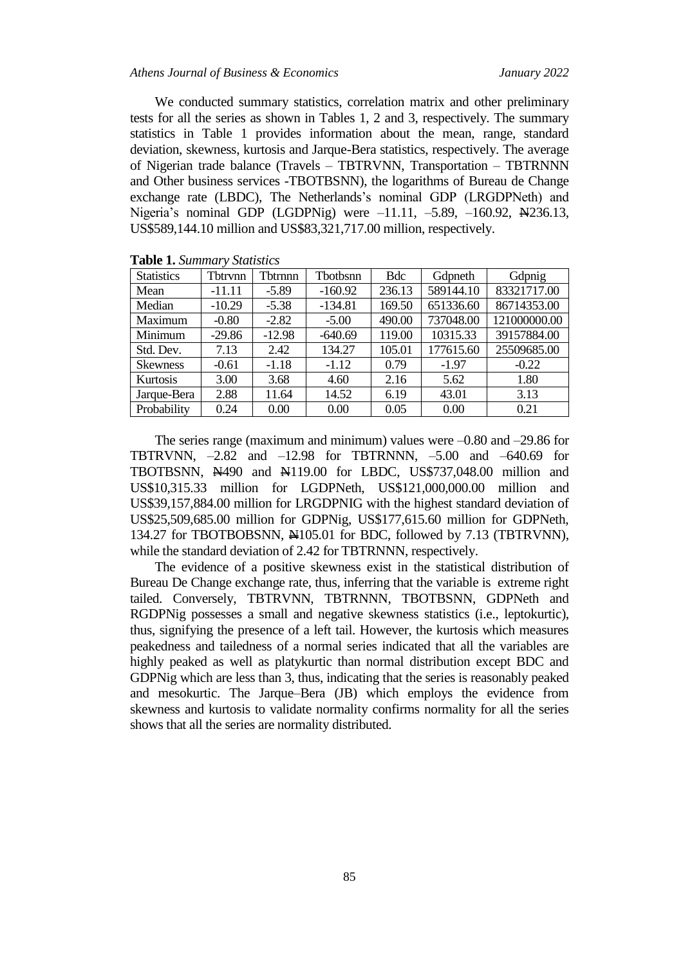#### *Athens Journal of Business & Economics January 2022*

We conducted summary statistics, correlation matrix and other preliminary tests for all the series as shown in Tables 1, 2 and 3, respectively. The summary statistics in Table 1 provides information about the mean, range, standard deviation, skewness, kurtosis and Jarque-Bera statistics, respectively. The average of Nigerian trade balance (Travels – TBTRVNN, Transportation – TBTRNNN and Other business services -TBOTBSNN), the logarithms of Bureau de Change exchange rate (LBDC), The Netherlands's nominal GDP (LRGDPNeth) and Nigeria's nominal GDP (LGDPNig) were -11.11, -5.89, -160.92, N4236.13, US\$589,144.10 million and US\$83,321,717.00 million, respectively.

| <b>Statistics</b> | Tbtrynn  | Tbtrnnn  | <b>Thothsnn</b> | <b>Bdc</b> | Gdpneth   | Gdpnig       |
|-------------------|----------|----------|-----------------|------------|-----------|--------------|
| Mean              | $-11.11$ | $-5.89$  | $-160.92$       | 236.13     | 589144.10 | 83321717.00  |
| Median            | $-10.29$ | $-5.38$  | $-134.81$       | 169.50     | 651336.60 | 86714353.00  |
| Maximum           | $-0.80$  | $-2.82$  | $-5.00$         | 490.00     | 737048.00 | 121000000.00 |
| Minimum           | $-29.86$ | $-12.98$ | $-640.69$       | 119.00     | 10315.33  | 39157884.00  |
| Std. Dev.         | 7.13     | 2.42     | 134.27          | 105.01     | 177615.60 | 25509685.00  |
| <b>Skewness</b>   | $-0.61$  | $-1.18$  | $-1.12$         | 0.79       | $-1.97$   | $-0.22$      |
| Kurtosis          | 3.00     | 3.68     | 4.60            | 2.16       | 5.62      | 1.80         |
| Jarque-Bera       | 2.88     | 11.64    | 14.52           | 6.19       | 43.01     | 3.13         |
| Probability       | 0.24     | 0.00     | 0.00            | 0.05       | 0.00      | 0.21         |

**Table 1.** *Summary Statistics*

The series range (maximum and minimum) values were  $-0.80$  and  $-29.86$  for TBTRVNN, –2.82 and –12.98 for TBTRNNN, –5.00 and –640.69 for TBOTBSNN, N490 and N119.00 for LBDC, US\$737,048.00 million and US\$10,315.33 million for LGDPNeth, US\$121,000,000.00 million and US\$39,157,884.00 million for LRGDPNIG with the highest standard deviation of US\$25,509,685.00 million for GDPNig, US\$177,615.60 million for GDPNeth, 134.27 for TBOTBOBSNN, N105.01 for BDC, followed by 7.13 (TBTRVNN), while the standard deviation of 2.42 for TBTRNNN, respectively.

The evidence of a positive skewness exist in the statistical distribution of Bureau De Change exchange rate, thus, inferring that the variable is extreme right tailed. Conversely, TBTRVNN, TBTRNNN, TBOTBSNN, GDPNeth and RGDPNig possesses a small and negative skewness statistics (i.e., leptokurtic), thus, signifying the presence of a left tail. However, the kurtosis which measures peakedness and tailedness of a normal series indicated that all the variables are highly peaked as well as platykurtic than normal distribution except BDC and GDPNig which are less than 3, thus, indicating that the series is reasonably peaked and mesokurtic. The Jarque–Bera (JB) which employs the evidence from skewness and kurtosis to validate normality confirms normality for all the series shows that all the series are normality distributed.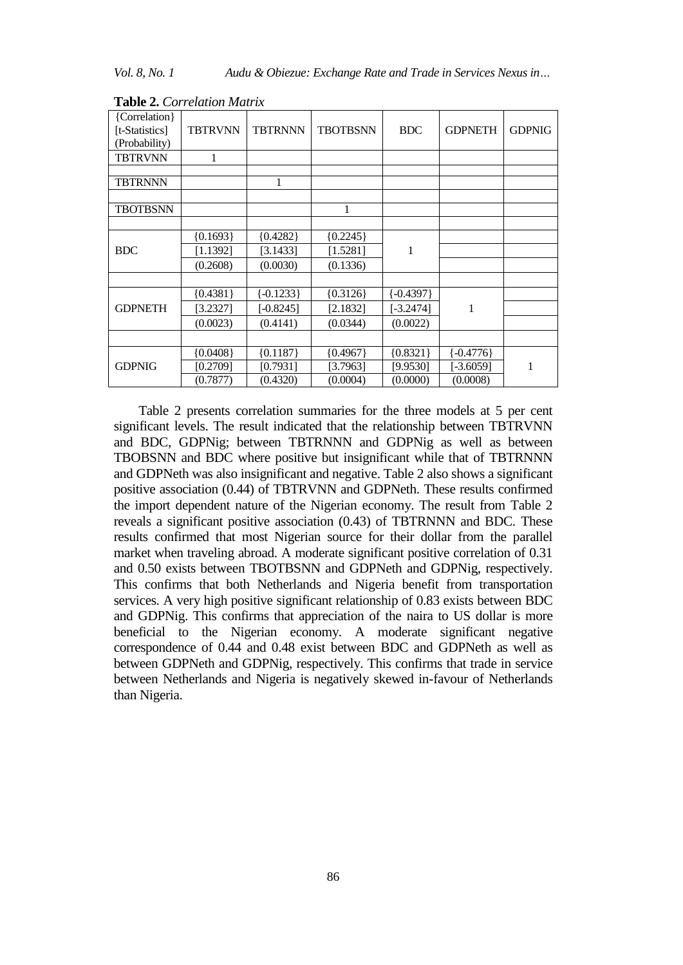*Vol. 8, No. 1 Audu & Obiezue: Exchange Rate and Trade in Services Nexus in…*

| {Correlation}   |                |                |                 |               |                |               |
|-----------------|----------------|----------------|-----------------|---------------|----------------|---------------|
| [t-Statistics]  | <b>TBTRVNN</b> | <b>TBTRNNN</b> | <b>TBOTBSNN</b> | <b>BDC</b>    | <b>GDPNETH</b> | <b>GDPNIG</b> |
| (Probability)   |                |                |                 |               |                |               |
| <b>TBTRVNN</b>  | 1              |                |                 |               |                |               |
|                 |                |                |                 |               |                |               |
| <b>TBTRNNN</b>  |                | 1              |                 |               |                |               |
|                 |                |                |                 |               |                |               |
| <b>TBOTBSNN</b> |                |                | 1               |               |                |               |
|                 |                |                |                 |               |                |               |
|                 | ${0.1693}$     | ${0.4282}$     | ${0.2245}$      |               |                |               |
| <b>BDC</b>      | [1.1392]       | [3.1433]       | [1.5281]        | 1             |                |               |
|                 | (0.2608)       | (0.0030)       | (0.1336)        |               |                |               |
|                 |                |                |                 |               |                |               |
|                 | ${0.4381}$     | $\{-0.1233\}$  | ${0.3126}$      | $\{-0.4397\}$ |                |               |
| <b>GDPNETH</b>  | [3.2327]       | $[-0.8245]$    | [2.1832]        | [-3.2474]     | 1              |               |
|                 | (0.0023)       | (0.4141)       | (0.0344)        | (0.0022)      |                |               |
|                 |                |                |                 |               |                |               |
|                 | ${0.0408}$     | ${0.1187}$     | ${0.4967}$      | ${0.8321}$    | $-0.4776$      |               |
| <b>GDPNIG</b>   | [0.2709]       | [0.7931]       | [3.7963]        | [9.9530]      | $[-3.6059]$    |               |
|                 | (0.7877)       | (0.4320)       | (0.0004)        | (0.0000)      | (0.0008)       |               |

**Table 2.** *Correlation Matrix*

Table 2 presents correlation summaries for the three models at 5 per cent significant levels. The result indicated that the relationship between TBTRVNN and BDC, GDPNig; between TBTRNNN and GDPNig as well as between TBOBSNN and BDC where positive but insignificant while that of TBTRNNN and GDPNeth was also insignificant and negative. Table 2 also shows a significant positive association (0.44) of TBTRVNN and GDPNeth. These results confirmed the import dependent nature of the Nigerian economy. The result from Table 2 reveals a significant positive association (0.43) of TBTRNNN and BDC. These results confirmed that most Nigerian source for their dollar from the parallel market when traveling abroad. A moderate significant positive correlation of 0.31 and 0.50 exists between TBOTBSNN and GDPNeth and GDPNig, respectively. This confirms that both Netherlands and Nigeria benefit from transportation services. A very high positive significant relationship of 0.83 exists between BDC and GDPNig. This confirms that appreciation of the naira to US dollar is more beneficial to the Nigerian economy. A moderate significant negative correspondence of 0.44 and 0.48 exist between BDC and GDPNeth as well as between GDPNeth and GDPNig, respectively. This confirms that trade in service between Netherlands and Nigeria is negatively skewed in-favour of Netherlands than Nigeria.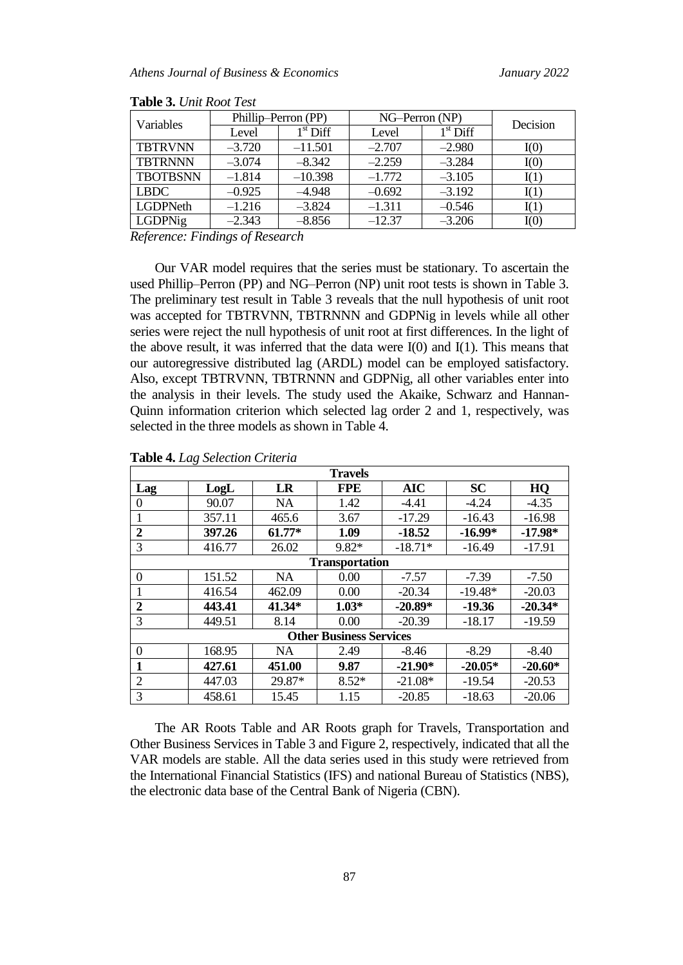|                 |          | Phillip-Perron (PP) | NG-Perron (NP) | Decision   |      |
|-----------------|----------|---------------------|----------------|------------|------|
| Variables       | Level    | $1st$ Diff          | Level          | $1st$ Diff |      |
| <b>TBTRVNN</b>  | $-3.720$ | $-11.501$           | $-2.707$       | $-2.980$   | I(0) |
| <b>TBTRNNN</b>  | $-3.074$ | $-8.342$            | $-2.259$       | $-3.284$   | I(0) |
| <b>TBOTBSNN</b> | $-1.814$ | $-10.398$           | $-1.772$       | $-3.105$   | I(1) |
| <b>LBDC</b>     | $-0.925$ | $-4.948$            | $-0.692$       | $-3.192$   | I(1) |
| LGDPNeth        | $-1.216$ | $-3.824$            | $-1.311$       | $-0.546$   | I(1) |
| LGDPNig         | $-2.343$ | $-8.856$            | $-12.37$       | $-3.206$   | I(0) |

**Table 3.** *Unit Root Test*

*Reference: Findings of Research*

Our VAR model requires that the series must be stationary. To ascertain the used Phillip–Perron (PP) and NG–Perron (NP) unit root tests is shown in Table 3. The preliminary test result in Table 3 reveals that the null hypothesis of unit root was accepted for TBTRVNN, TBTRNNN and GDPNig in levels while all other series were reject the null hypothesis of unit root at first differences. In the light of the above result, it was inferred that the data were  $I(0)$  and  $I(1)$ . This means that our autoregressive distributed lag (ARDL) model can be employed satisfactory. Also, except TBTRVNN, TBTRNNN and GDPNig, all other variables enter into the analysis in their levels. The study used the Akaike, Schwarz and Hannan-Quinn information criterion which selected lag order 2 and 1, respectively, was selected in the three models as shown in Table 4.

|                  | <b>Travels</b>                 |           |                       |            |           |           |  |  |  |  |
|------------------|--------------------------------|-----------|-----------------------|------------|-----------|-----------|--|--|--|--|
| Lag              | LogL                           | LR        | <b>FPE</b>            | <b>AIC</b> | <b>SC</b> | HQ        |  |  |  |  |
| $\Omega$         | 90.07                          | <b>NA</b> | 1.42                  | $-4.41$    | $-4.24$   | $-4.35$   |  |  |  |  |
|                  | 357.11                         | 465.6     | 3.67                  | $-17.29$   | $-16.43$  | $-16.98$  |  |  |  |  |
| $\boldsymbol{2}$ | 397.26                         | $61.77*$  | 1.09                  | $-18.52$   | $-16.99*$ | $-17.98*$ |  |  |  |  |
| 3                | 416.77                         | 26.02     | 9.82*                 | $-18.71*$  | $-16.49$  | $-17.91$  |  |  |  |  |
|                  |                                |           | <b>Transportation</b> |            |           |           |  |  |  |  |
| $\Omega$         | 151.52                         | <b>NA</b> | 0.00                  | $-7.57$    | $-7.39$   | $-7.50$   |  |  |  |  |
|                  | 416.54                         | 462.09    | 0.00                  | $-20.34$   | $-19.48*$ | $-20.03$  |  |  |  |  |
| $\boldsymbol{2}$ | 443.41                         | $41.34*$  | $1.03*$               | $-20.89*$  | $-19.36$  | $-20.34*$ |  |  |  |  |
| 3                | 449.51                         | 8.14      | 0.00                  | $-20.39$   | $-18.17$  | $-19.59$  |  |  |  |  |
|                  | <b>Other Business Services</b> |           |                       |            |           |           |  |  |  |  |
| $\theta$         | 168.95                         | NA        | 2.49                  | $-8.46$    | $-8.29$   | $-8.40$   |  |  |  |  |
| 1                | 427.61                         | 451.00    | 9.87                  | $-21.90*$  | $-20.05*$ | $-20.60*$ |  |  |  |  |
| $\overline{2}$   | 447.03                         | 29.87*    | $8.52*$               | $-21.08*$  | $-19.54$  | $-20.53$  |  |  |  |  |
| 3                | 458.61                         | 15.45     | 1.15                  | $-20.85$   | $-18.63$  | $-20.06$  |  |  |  |  |

#### **Table 4.** *Lag Selection Criteria*

The AR Roots Table and AR Roots graph for Travels, Transportation and Other Business Services in Table 3 and Figure 2, respectively, indicated that all the VAR models are stable. All the data series used in this study were retrieved from the International Financial Statistics (IFS) and national Bureau of Statistics (NBS), the electronic data base of the Central Bank of Nigeria (CBN).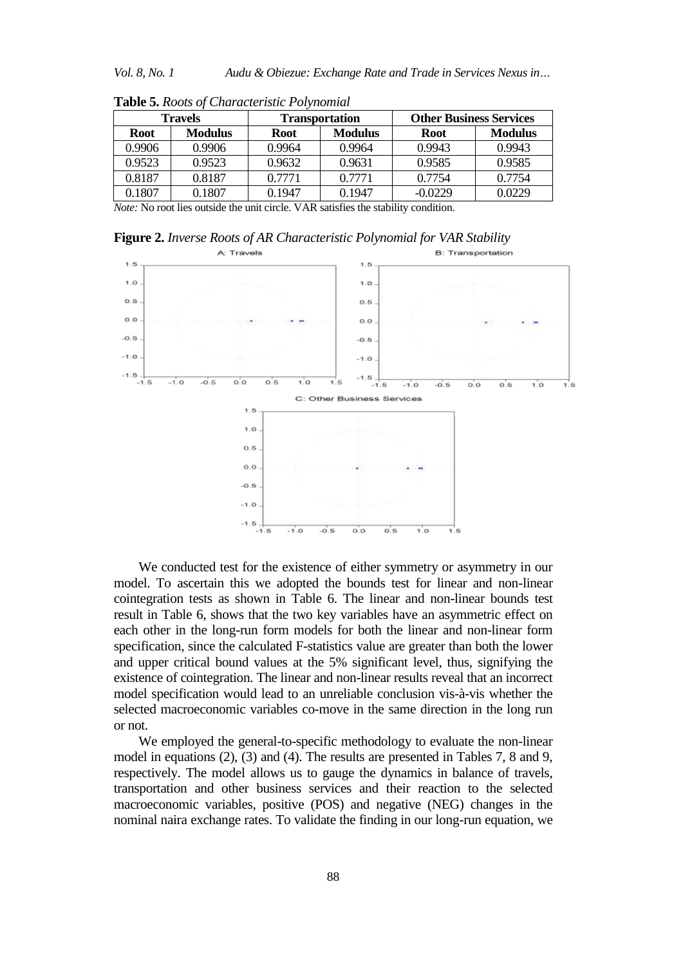| <b>Travels</b> |                |             | <b>Transportation</b> | <b>Other Business Services</b> |                |  |
|----------------|----------------|-------------|-----------------------|--------------------------------|----------------|--|
| <b>Root</b>    | <b>Modulus</b> | <b>Root</b> | <b>Modulus</b>        | <b>Root</b>                    | <b>Modulus</b> |  |
| 0.9906         | 0.9906         | 0.9964      | 0.9964                | 0.9943                         | 0.9943         |  |
| 0.9523         | 0.9523         | 0.9632      | 0.9631                | 0.9585                         | 0.9585         |  |
| 0.8187         | 0.8187         | 0.7771      | 0.7771                | 0.7754                         | 0.7754         |  |
| 0.1807         | 0.1807         | 0.1947      | 0.1947                | $-0.0229$                      | 0.0229         |  |

**Table 5.** *Roots of Characteristic Polynomial*

*Note:* No root lies outside the unit circle. VAR satisfies the stability condition.

**Figure 2.** *Inverse Roots of AR Characteristic Polynomial for VAR Stability*



We conducted test for the existence of either symmetry or asymmetry in our model. To ascertain this we adopted the bounds test for linear and non-linear cointegration tests as shown in Table 6. The linear and non-linear bounds test result in Table 6, shows that the two key variables have an asymmetric effect on each other in the long-run form models for both the linear and non-linear form specification, since the calculated F-statistics value are greater than both the lower and upper critical bound values at the 5% significant level, thus, signifying the existence of cointegration. The linear and non-linear results reveal that an incorrect model specification would lead to an unreliable conclusion vis-à-vis whether the selected macroeconomic variables co-move in the same direction in the long run or not.

We employed the general-to-specific methodology to evaluate the non-linear model in equations (2), (3) and (4). The results are presented in Tables 7, 8 and 9, respectively. The model allows us to gauge the dynamics in balance of travels, transportation and other business services and their reaction to the selected macroeconomic variables, positive (POS) and negative (NEG) changes in the nominal naira exchange rates. To validate the finding in our long-run equation, we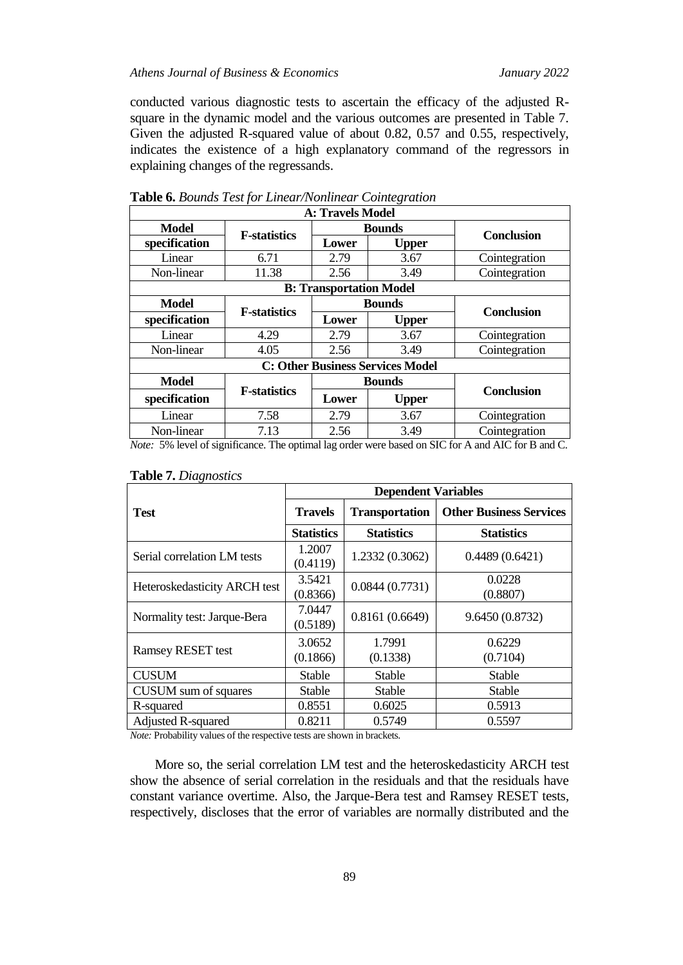conducted various diagnostic tests to ascertain the efficacy of the adjusted Rsquare in the dynamic model and the various outcomes are presented in Table 7. Given the adjusted R-squared value of about 0.82, 0.57 and 0.55, respectively, indicates the existence of a high explanatory command of the regressors in explaining changes of the regressands.

| <b>A: Travels Model</b> |                      |                                |                                         |                   |  |  |
|-------------------------|----------------------|--------------------------------|-----------------------------------------|-------------------|--|--|
| Model                   | <b>F</b> -statistics |                                | <b>Bounds</b>                           | <b>Conclusion</b> |  |  |
| specification           |                      | Lower                          | <b>Upper</b>                            |                   |  |  |
| Linear                  | 6.71                 | 2.79                           | 3.67                                    | Cointegration     |  |  |
| Non-linear              | 11.38                | 2.56                           | 3.49                                    | Cointegration     |  |  |
|                         |                      | <b>B: Transportation Model</b> |                                         |                   |  |  |
| Model                   |                      | <b>Bounds</b>                  |                                         |                   |  |  |
| specification           | <b>F-statistics</b>  | Lower                          | <b>Upper</b>                            | <b>Conclusion</b> |  |  |
| Linear                  | 4.29                 | 2.79                           | 3.67                                    | Cointegration     |  |  |
| Non-linear              | 4.05                 | 2.56                           | 3.49                                    | Cointegration     |  |  |
|                         |                      |                                | <b>C: Other Business Services Model</b> |                   |  |  |
| <b>Model</b>            |                      |                                | <b>Bounds</b>                           |                   |  |  |
| specification           | <b>F-statistics</b>  | Lower                          | <b>Upper</b>                            | <b>Conclusion</b> |  |  |
| Linear                  | 7.58                 | 2.79                           | 3.67                                    | Cointegration     |  |  |
| Non-linear              | 7.13                 | 2.56                           | 3.49                                    | Cointegration     |  |  |

|  |  | Table 6. Bounds Test for Linear/Nonlinear Cointegration |  |
|--|--|---------------------------------------------------------|--|
|--|--|---------------------------------------------------------|--|

*Note:* 5% level of significance. The optimal lag order were based on SIC for A and AIC for B and C.

|                              | <b>Dependent Variables</b> |                       |                                |  |  |  |
|------------------------------|----------------------------|-----------------------|--------------------------------|--|--|--|
| <b>Test</b>                  | <b>Travels</b>             | <b>Transportation</b> | <b>Other Business Services</b> |  |  |  |
|                              | <b>Statistics</b>          | <b>Statistics</b>     | <b>Statistics</b>              |  |  |  |
| Serial correlation LM tests  | 1.2007<br>(0.4119)         | 1.2332 (0.3062)       | 0.4489(0.6421)                 |  |  |  |
| Heteroskedasticity ARCH test | 3.5421<br>(0.8366)         | 0.0844(0.7731)        | 0.0228<br>(0.8807)             |  |  |  |
| Normality test: Jarque-Bera  | 7.0447<br>(0.5189)         | 0.8161(0.6649)        | 9.6450 (0.8732)                |  |  |  |
| <b>Ramsey RESET test</b>     | 3.0652<br>(0.1866)         | 1.7991<br>(0.1338)    | 0.6229<br>(0.7104)             |  |  |  |
| <b>CUSUM</b>                 | <b>Stable</b>              | Stable                | <b>Stable</b>                  |  |  |  |
| CUSUM sum of squares         | <b>Stable</b>              | Stable                | <b>Stable</b>                  |  |  |  |
| R-squared                    | 0.8551                     | 0.6025                | 0.5913                         |  |  |  |
| <b>Adjusted R-squared</b>    | 0.8211                     | 0.5749                | 0.5597                         |  |  |  |

### **Table 7.** *Diagnostics*

*Note:* Probability values of the respective tests are shown in brackets.

More so, the serial correlation LM test and the heteroskedasticity ARCH test show the absence of serial correlation in the residuals and that the residuals have constant variance overtime. Also, the Jarque-Bera test and Ramsey RESET tests, respectively, discloses that the error of variables are normally distributed and the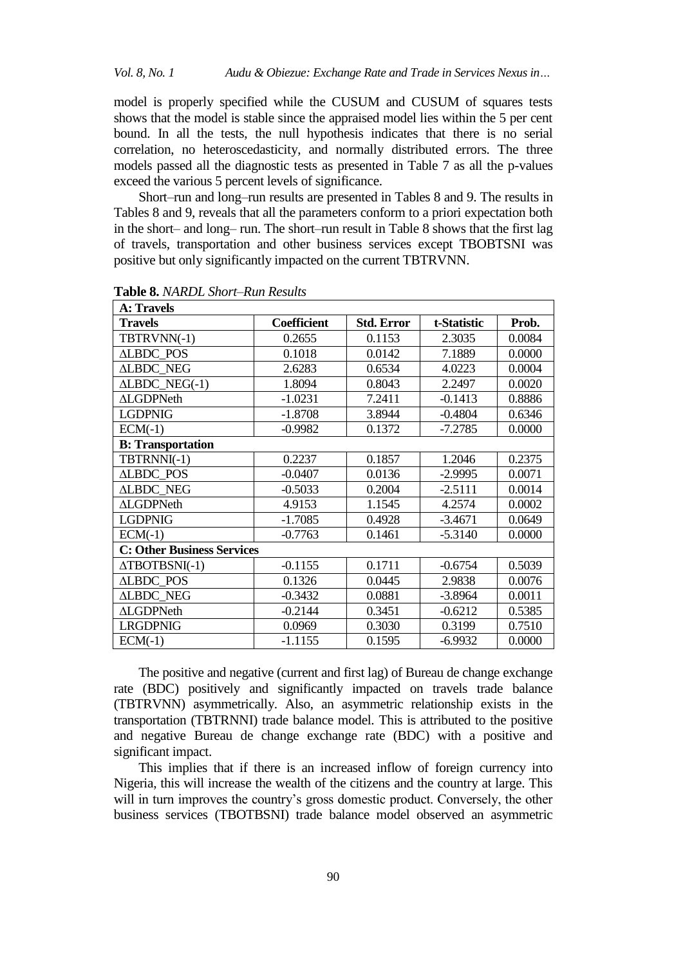model is properly specified while the CUSUM and CUSUM of squares tests shows that the model is stable since the appraised model lies within the 5 per cent bound. In all the tests, the null hypothesis indicates that there is no serial correlation, no heteroscedasticity, and normally distributed errors. The three models passed all the diagnostic tests as presented in Table 7 as all the p-values exceed the various 5 percent levels of significance.

Short–run and long–run results are presented in Tables 8 and 9. The results in Tables 8 and 9, reveals that all the parameters conform to a priori expectation both in the short– and long– run. The short–run result in Table 8 shows that the first lag of travels, transportation and other business services except TBOBTSNI was positive but only significantly impacted on the current TBTRVNN.

| <b>A: Travels</b>                 |                    |                   |             |        |  |  |  |  |
|-----------------------------------|--------------------|-------------------|-------------|--------|--|--|--|--|
| <b>Travels</b>                    | <b>Coefficient</b> | <b>Std. Error</b> | t-Statistic | Prob.  |  |  |  |  |
| TBTRVNN(-1)                       | 0.2655             | 0.1153            | 2.3035      | 0.0084 |  |  |  |  |
| <b>ALBDC POS</b>                  | 0.1018             | 0.0142            | 7.1889      | 0.0000 |  |  |  |  |
| <b>ALBDC NEG</b>                  | 2.6283             | 0.6534            | 4.0223      | 0.0004 |  |  |  |  |
| $ALBDC NEG(-1)$                   | 1.8094             | 0.8043            | 2.2497      | 0.0020 |  |  |  |  |
| <b>ALGDPNeth</b>                  | $-1.0231$          | 7.2411            | $-0.1413$   | 0.8886 |  |  |  |  |
| <b>LGDPNIG</b>                    | $-1.8708$          | 3.8944            | $-0.4804$   | 0.6346 |  |  |  |  |
| $ECM(-1)$                         | $-0.9982$          | 0.1372            | $-7.2785$   | 0.0000 |  |  |  |  |
| <b>B:</b> Transportation          |                    |                   |             |        |  |  |  |  |
| TBTRNNI(-1)                       | 0.2237             | 0.1857            | 1.2046      | 0.2375 |  |  |  |  |
| <b>ALBDC POS</b>                  | $-0.0407$          | 0.0136            | $-2.9995$   | 0.0071 |  |  |  |  |
| <b>ALBDC NEG</b>                  | $-0.5033$          | 0.2004            | $-2.5111$   | 0.0014 |  |  |  |  |
| <b>ALGDPNeth</b>                  | 4.9153             | 1.1545            | 4.2574      | 0.0002 |  |  |  |  |
| <b>LGDPNIG</b>                    | $-1.7085$          | 0.4928            | $-3.4671$   | 0.0649 |  |  |  |  |
| $ECM(-1)$                         | $-0.7763$          | 0.1461            | $-5.3140$   | 0.0000 |  |  |  |  |
| <b>C: Other Business Services</b> |                    |                   |             |        |  |  |  |  |
| $\triangle TBOTBSNI(-1)$          | $-0.1155$          | 0.1711            | $-0.6754$   | 0.5039 |  |  |  |  |
| <b>ALBDC POS</b>                  | 0.1326             | 0.0445            | 2.9838      | 0.0076 |  |  |  |  |
| <b>ALBDC NEG</b>                  | $-0.3432$          | 0.0881            | $-3.8964$   | 0.0011 |  |  |  |  |
| <b>ALGDPNeth</b>                  | $-0.2144$          | 0.3451            | $-0.6212$   | 0.5385 |  |  |  |  |
| <b>LRGDPNIG</b>                   | 0.0969             | 0.3030            | 0.3199      | 0.7510 |  |  |  |  |
| $ECM(-1)$                         | $-1.1155$          | 0.1595            | $-6.9932$   | 0.0000 |  |  |  |  |

**Table 8.** *NARDL Short–Run Results*

The positive and negative (current and first lag) of Bureau de change exchange rate (BDC) positively and significantly impacted on travels trade balance (TBTRVNN) asymmetrically. Also, an asymmetric relationship exists in the transportation (TBTRNNI) trade balance model. This is attributed to the positive and negative Bureau de change exchange rate (BDC) with a positive and significant impact.

This implies that if there is an increased inflow of foreign currency into Nigeria, this will increase the wealth of the citizens and the country at large. This will in turn improves the country's gross domestic product. Conversely, the other business services (TBOTBSNI) trade balance model observed an asymmetric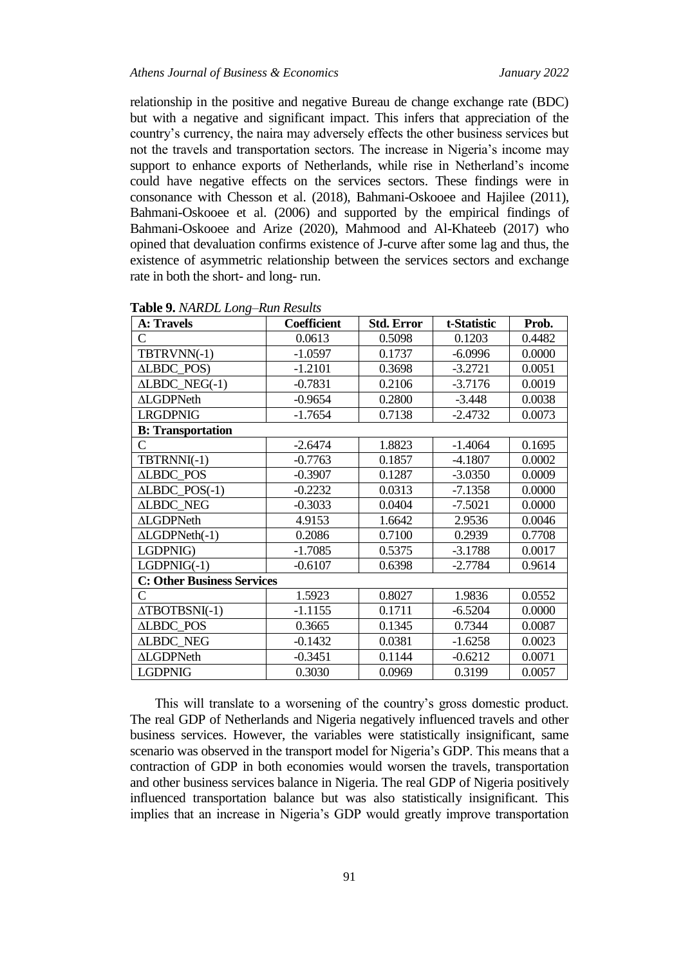relationship in the positive and negative Bureau de change exchange rate (BDC) but with a negative and significant impact. This infers that appreciation of the country's currency, the naira may adversely effects the other business services but not the travels and transportation sectors. The increase in Nigeria's income may support to enhance exports of Netherlands, while rise in Netherland's income could have negative effects on the services sectors. These findings were in consonance with Chesson et al. (2018), Bahmani-Oskooee and Hajilee (2011), Bahmani-Oskooee et al. (2006) and supported by the empirical findings of Bahmani-Oskooee and Arize (2020), Mahmood and Al-Khateeb (2017) who opined that devaluation confirms existence of J-curve after some lag and thus, the existence of asymmetric relationship between the services sectors and exchange rate in both the short- and long- run.

| <b>A: Travels</b>                 | Coefficient | <b>Std. Error</b> | t-Statistic | Prob.  |
|-----------------------------------|-------------|-------------------|-------------|--------|
| C                                 | 0.0613      | 0.5098            | 0.1203      | 0.4482 |
| TBTRVNN(-1)                       | $-1.0597$   | 0.1737            | $-6.0996$   | 0.0000 |
| ALBDC_POS)                        | $-1.2101$   | 0.3698            | $-3.2721$   | 0.0051 |
| $ALBDC\_NEG(-1)$                  | $-0.7831$   | 0.2106            | $-3.7176$   | 0.0019 |
| <b>ALGDPNeth</b>                  | $-0.9654$   | 0.2800            | $-3.448$    | 0.0038 |
| <b>LRGDPNIG</b>                   | $-1.7654$   | 0.7138            | $-2.4732$   | 0.0073 |
| <b>B:</b> Transportation          |             |                   |             |        |
| C.                                | $-2.6474$   | 1.8823            | $-1.4064$   | 0.1695 |
| TBTRNNI(-1)                       | $-0.7763$   | 0.1857            | $-4.1807$   | 0.0002 |
| ALBDC_POS                         | $-0.3907$   | 0.1287            | $-3.0350$   | 0.0009 |
| $ALBDC_POS(-1)$                   | $-0.2232$   | 0.0313            | $-7.1358$   | 0.0000 |
| <b>ALBDC_NEG</b>                  | $-0.3033$   | 0.0404            | $-7.5021$   | 0.0000 |
| <b>ALGDPNeth</b>                  | 4.9153      | 1.6642            | 2.9536      | 0.0046 |
| $ALGDPNeth(-1)$                   | 0.2086      | 0.7100            | 0.2939      | 0.7708 |
| LGDPNIG)                          | $-1.7085$   | 0.5375            | $-3.1788$   | 0.0017 |
| $LGDPNIG(-1)$                     | $-0.6107$   | 0.6398            | $-2.7784$   | 0.9614 |
| <b>C: Other Business Services</b> |             |                   |             |        |
| $\mathsf{C}$                      | 1.5923      | 0.8027            | 1.9836      | 0.0552 |
| $\triangle TBOTBSNI(-1)$          | $-1.1155$   | 0.1711            | $-6.5204$   | 0.0000 |
| <b>ALBDC_POS</b>                  | 0.3665      | 0.1345            | 0.7344      | 0.0087 |
| <b>ALBDC_NEG</b>                  | $-0.1432$   | 0.0381            | $-1.6258$   | 0.0023 |
| <b>ALGDPNeth</b>                  | $-0.3451$   | 0.1144            | $-0.6212$   | 0.0071 |
| <b>LGDPNIG</b>                    | 0.3030      | 0.0969            | 0.3199      | 0.0057 |

**Table 9.** *NARDL Long–Run Results*

This will translate to a worsening of the country's gross domestic product. The real GDP of Netherlands and Nigeria negatively influenced travels and other business services. However, the variables were statistically insignificant, same scenario was observed in the transport model for Nigeria's GDP. This means that a contraction of GDP in both economies would worsen the travels, transportation and other business services balance in Nigeria. The real GDP of Nigeria positively influenced transportation balance but was also statistically insignificant. This implies that an increase in Nigeria's GDP would greatly improve transportation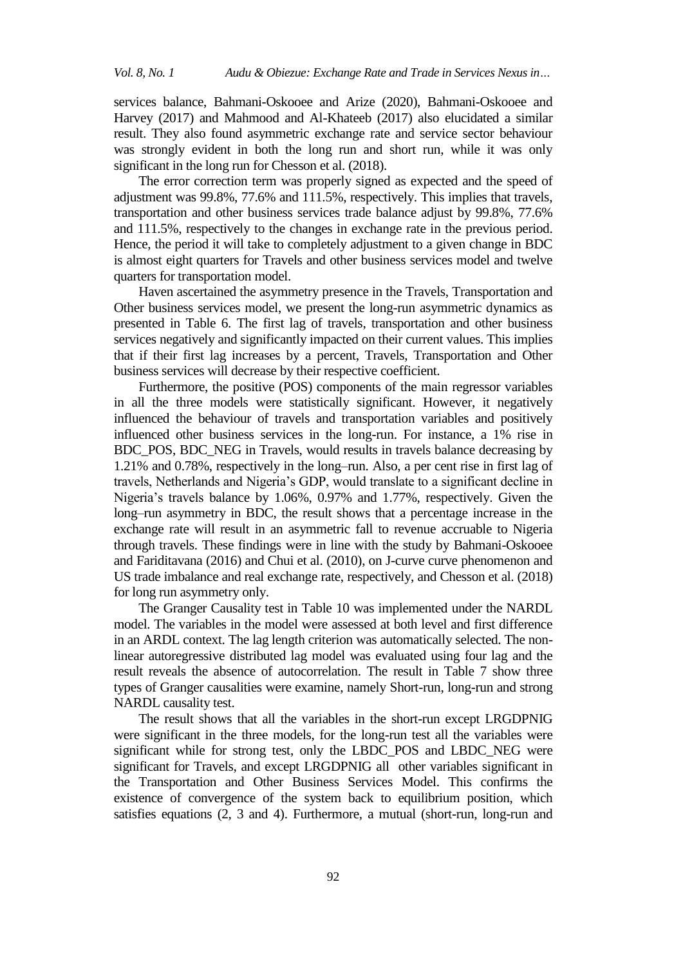services balance, Bahmani-Oskooee and Arize (2020), Bahmani-Oskooee and Harvey (2017) and Mahmood and Al-Khateeb (2017) also elucidated a similar result. They also found asymmetric exchange rate and service sector behaviour was strongly evident in both the long run and short run, while it was only significant in the long run for Chesson et al. (2018).

The error correction term was properly signed as expected and the speed of adjustment was 99.8%, 77.6% and 111.5%, respectively. This implies that travels, transportation and other business services trade balance adjust by 99.8%, 77.6% and 111.5%, respectively to the changes in exchange rate in the previous period. Hence, the period it will take to completely adjustment to a given change in BDC is almost eight quarters for Travels and other business services model and twelve quarters for transportation model.

Haven ascertained the asymmetry presence in the Travels, Transportation and Other business services model, we present the long-run asymmetric dynamics as presented in Table 6. The first lag of travels, transportation and other business services negatively and significantly impacted on their current values. This implies that if their first lag increases by a percent, Travels, Transportation and Other business services will decrease by their respective coefficient.

Furthermore, the positive (POS) components of the main regressor variables in all the three models were statistically significant. However, it negatively influenced the behaviour of travels and transportation variables and positively influenced other business services in the long-run. For instance, a 1% rise in BDC\_POS, BDC\_NEG in Travels, would results in travels balance decreasing by 1.21% and 0.78%, respectively in the long–run. Also, a per cent rise in first lag of travels, Netherlands and Nigeria's GDP, would translate to a significant decline in Nigeria's travels balance by 1.06%, 0.97% and 1.77%, respectively. Given the long–run asymmetry in BDC, the result shows that a percentage increase in the exchange rate will result in an asymmetric fall to revenue accruable to Nigeria through travels. These findings were in line with the study by Bahmani-Oskooee and Fariditavana (2016) and Chui et al. (2010), on J-curve curve phenomenon and US trade imbalance and real exchange rate, respectively, and Chesson et al. (2018) for long run asymmetry only.

The Granger Causality test in Table 10 was implemented under the NARDL model. The variables in the model were assessed at both level and first difference in an ARDL context. The lag length criterion was automatically selected. The nonlinear autoregressive distributed lag model was evaluated using four lag and the result reveals the absence of autocorrelation. The result in Table 7 show three types of Granger causalities were examine, namely Short-run, long-run and strong NARDL causality test.

The result shows that all the variables in the short-run except LRGDPNIG were significant in the three models, for the long-run test all the variables were significant while for strong test, only the LBDC\_POS and LBDC\_NEG were significant for Travels, and except LRGDPNIG all other variables significant in the Transportation and Other Business Services Model. This confirms the existence of convergence of the system back to equilibrium position, which satisfies equations (2, 3 and 4). Furthermore, a mutual (short-run, long-run and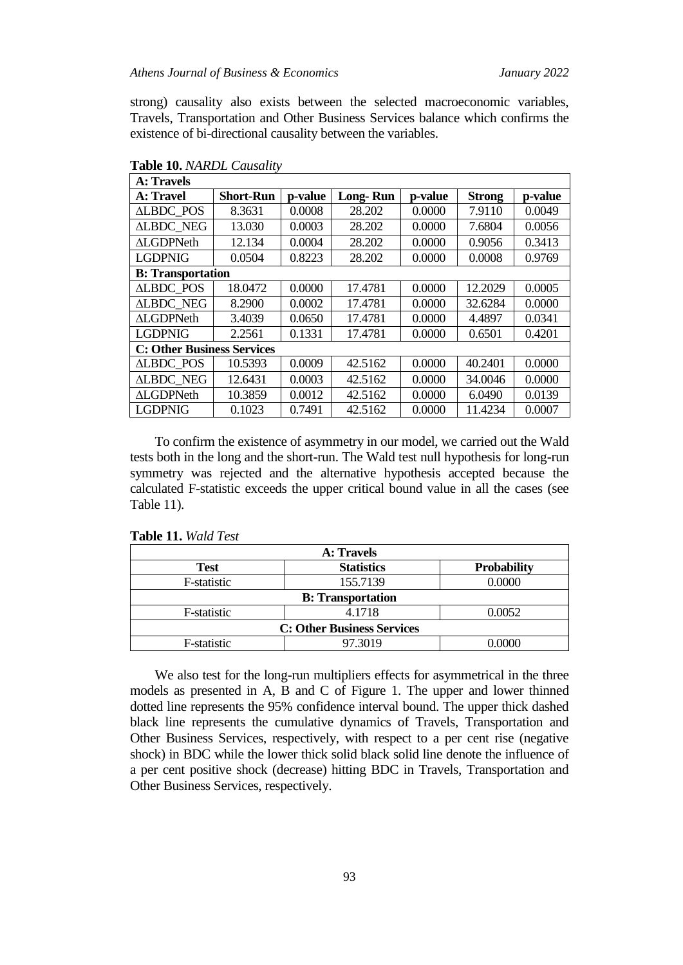strong) causality also exists between the selected macroeconomic variables, Travels, Transportation and Other Business Services balance which confirms the existence of bi-directional causality between the variables.

| A: Travels                        |                  |         |                 |         |               |         |
|-----------------------------------|------------------|---------|-----------------|---------|---------------|---------|
| A: Travel                         | <b>Short-Run</b> | p-value | <b>Long-Run</b> | p-value | <b>Strong</b> | p-value |
| <b>ALBDC POS</b>                  | 8.3631           | 0.0008  | 28.202          | 0.0000  | 7.9110        | 0.0049  |
| <b>ALBDC NEG</b>                  | 13.030           | 0.0003  | 28.202          | 0.0000  | 7.6804        | 0.0056  |
| <b>ALGDPNeth</b>                  | 12.134           | 0.0004  | 28.202          | 0.0000  | 0.9056        | 0.3413  |
| <b>LGDPNIG</b>                    | 0.0504           | 0.8223  | 28.202          | 0.0000  | 0.0008        | 0.9769  |
| <b>B:</b> Transportation          |                  |         |                 |         |               |         |
| <b>ALBDC POS</b>                  | 18.0472          | 0.0000  | 17.4781         | 0.0000  | 12.2029       | 0.0005  |
| <b>ALBDC NEG</b>                  | 8.2900           | 0.0002  | 17.4781         | 0.0000  | 32.6284       | 0.0000  |
| <b>ALGDPNeth</b>                  | 3.4039           | 0.0650  | 17.4781         | 0.0000  | 4.4897        | 0.0341  |
| <b>LGDPNIG</b>                    | 2.2561           | 0.1331  | 17.4781         | 0.0000  | 0.6501        | 0.4201  |
| <b>C: Other Business Services</b> |                  |         |                 |         |               |         |
| <b>ALBDC POS</b>                  | 10.5393          | 0.0009  | 42.5162         | 0.0000  | 40.2401       | 0.0000  |
| <b>ALBDC NEG</b>                  | 12.6431          | 0.0003  | 42.5162         | 0.0000  | 34.0046       | 0.0000  |
| <b>ALGDPNeth</b>                  | 10.3859          | 0.0012  | 42.5162         | 0.0000  | 6.0490        | 0.0139  |
| <b>LGDPNIG</b>                    | 0.1023           | 0.7491  | 42.5162         | 0.0000  | 11.4234       | 0.0007  |

**Table 10.** *NARDL Causality*

To confirm the existence of asymmetry in our model, we carried out the Wald tests both in the long and the short-run. The Wald test null hypothesis for long-run symmetry was rejected and the alternative hypothesis accepted because the calculated F-statistic exceeds the upper critical bound value in all the cases (see Table 11).

| A: Travels                        |                   |                    |
|-----------------------------------|-------------------|--------------------|
| Test                              | <b>Statistics</b> | <b>Probability</b> |
| F-statistic                       | 155.7139          | 0.0000             |
| <b>B:</b> Transportation          |                   |                    |
| F-statistic                       | 4.1718            | 0.0052             |
| <b>C: Other Business Services</b> |                   |                    |
| F-statistic                       | 97.3019           | 0.0000             |

We also test for the long-run multipliers effects for asymmetrical in the three models as presented in A, B and C of Figure 1. The upper and lower thinned dotted line represents the 95% confidence interval bound. The upper thick dashed black line represents the cumulative dynamics of Travels, Transportation and Other Business Services, respectively, with respect to a per cent rise (negative shock) in BDC while the lower thick solid black solid line denote the influence of a per cent positive shock (decrease) hitting BDC in Travels, Transportation and Other Business Services, respectively.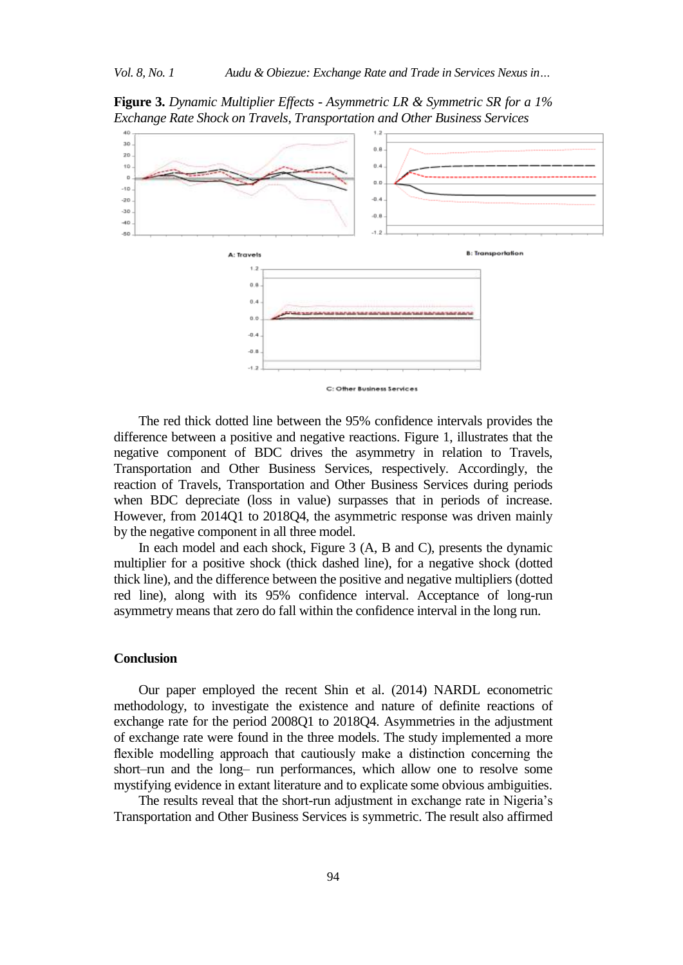**Figure 3.** *Dynamic Multiplier Effects - Asymmetric LR & Symmetric SR for a 1% Exchange Rate Shock on Travels, Transportation and Other Business Services*



The red thick dotted line between the 95% confidence intervals provides the difference between a positive and negative reactions. Figure 1, illustrates that the negative component of BDC drives the asymmetry in relation to Travels, Transportation and Other Business Services, respectively. Accordingly, the reaction of Travels, Transportation and Other Business Services during periods when BDC depreciate (loss in value) surpasses that in periods of increase. However, from 2014Q1 to 2018Q4, the asymmetric response was driven mainly by the negative component in all three model.

In each model and each shock, Figure 3 (A, B and C), presents the dynamic multiplier for a positive shock (thick dashed line), for a negative shock (dotted thick line), and the difference between the positive and negative multipliers (dotted red line), along with its 95% confidence interval. Acceptance of long-run asymmetry means that zero do fall within the confidence interval in the long run.

## **Conclusion**

Our paper employed the recent Shin et al. (2014) NARDL econometric methodology, to investigate the existence and nature of definite reactions of exchange rate for the period 2008Q1 to 2018Q4. Asymmetries in the adjustment of exchange rate were found in the three models. The study implemented a more flexible modelling approach that cautiously make a distinction concerning the short–run and the long– run performances, which allow one to resolve some mystifying evidence in extant literature and to explicate some obvious ambiguities.

The results reveal that the short-run adjustment in exchange rate in Nigeria's Transportation and Other Business Services is symmetric. The result also affirmed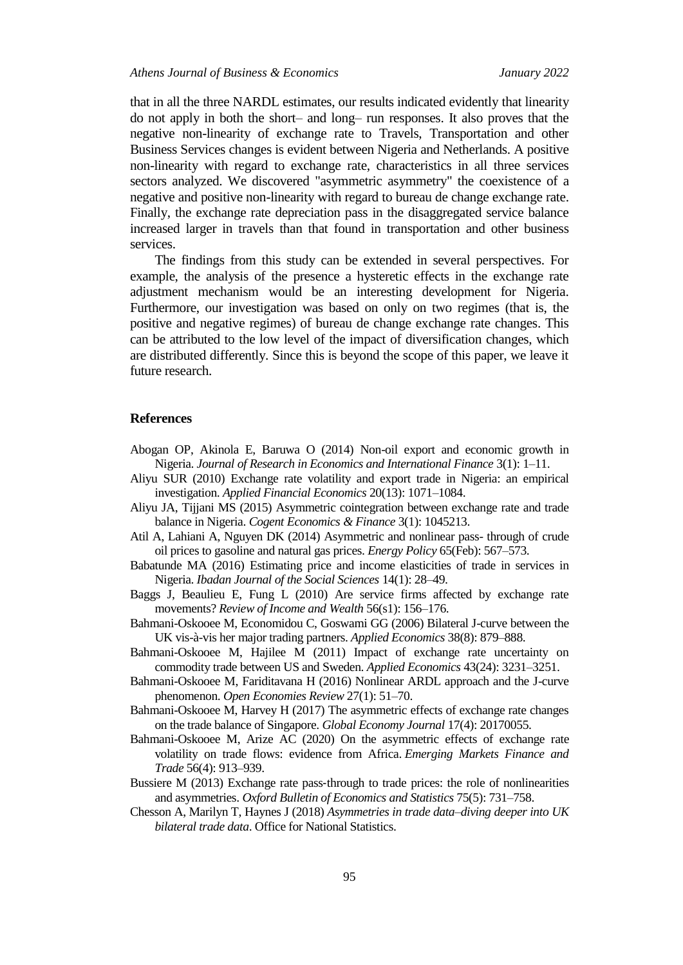that in all the three NARDL estimates, our results indicated evidently that linearity do not apply in both the short– and long– run responses. It also proves that the negative non-linearity of exchange rate to Travels, Transportation and other Business Services changes is evident between Nigeria and Netherlands. A positive non-linearity with regard to exchange rate, characteristics in all three services sectors analyzed. We discovered "asymmetric asymmetry" the coexistence of a negative and positive non-linearity with regard to bureau de change exchange rate. Finally, the exchange rate depreciation pass in the disaggregated service balance increased larger in travels than that found in transportation and other business services.

The findings from this study can be extended in several perspectives. For example, the analysis of the presence a hysteretic effects in the exchange rate adjustment mechanism would be an interesting development for Nigeria. Furthermore, our investigation was based on only on two regimes (that is, the positive and negative regimes) of bureau de change exchange rate changes. This can be attributed to the low level of the impact of diversification changes, which are distributed differently. Since this is beyond the scope of this paper, we leave it future research.

## **References**

- Abogan OP, Akinola E, Baruwa O (2014) Non-oil export and economic growth in Nigeria. *Journal of Research in Economics and International Finance* 3(1): 1–11.
- Aliyu SUR (2010) Exchange rate volatility and export trade in Nigeria: an empirical investigation. *Applied Financial Economics* 20(13): 1071–1084.
- Aliyu JA, Tijjani MS (2015) Asymmetric cointegration between exchange rate and trade balance in Nigeria. *Cogent Economics & Finance* 3(1): 1045213.
- Atil A, Lahiani A, Nguyen DK (2014) Asymmetric and nonlinear pass- through of crude oil prices to gasoline and natural gas prices. *Energy Policy* 65(Feb): 567–573.
- Babatunde MA (2016) Estimating price and income elasticities of trade in services in Nigeria. *Ibadan Journal of the Social Sciences* 14(1): 28–49.
- Baggs J, Beaulieu E, Fung L (2010) Are service firms affected by exchange rate movements? *Review of Income and Wealth* 56(s1): 156–176.
- Bahmani-Oskooee M, Economidou C, Goswami GG (2006) Bilateral J-curve between the UK vis-à-vis her major trading partners. *Applied Economics* 38(8): 879–888.
- Bahmani-Oskooee M, Hajilee M (2011) Impact of exchange rate uncertainty on commodity trade between US and Sweden*. Applied Economics* 43(24): 3231–3251.
- Bahmani-Oskooee M, Fariditavana H (2016) Nonlinear ARDL approach and the J-curve phenomenon. *Open Economies Review* 27(1): 51–70.
- Bahmani-Oskooee M, Harvey H (2017) The asymmetric effects of exchange rate changes on the trade balance of Singapore. *Global Economy Journal* 17(4): 20170055.
- Bahmani-Oskooee M, Arize AC (2020) On the asymmetric effects of exchange rate volatility on trade flows: evidence from Africa. *Emerging Markets Finance and Trade* 56(4): 913–939.
- Bussiere M (2013) Exchange rate pass‐through to trade prices: the role of nonlinearities and asymmetries. *Oxford Bulletin of Economics and Statistics* 75(5): 731–758.
- Chesson A, Marilyn T, Haynes J (2018) *Asymmetries in trade data–diving deeper into UK bilateral trade data*. Office for National Statistics.